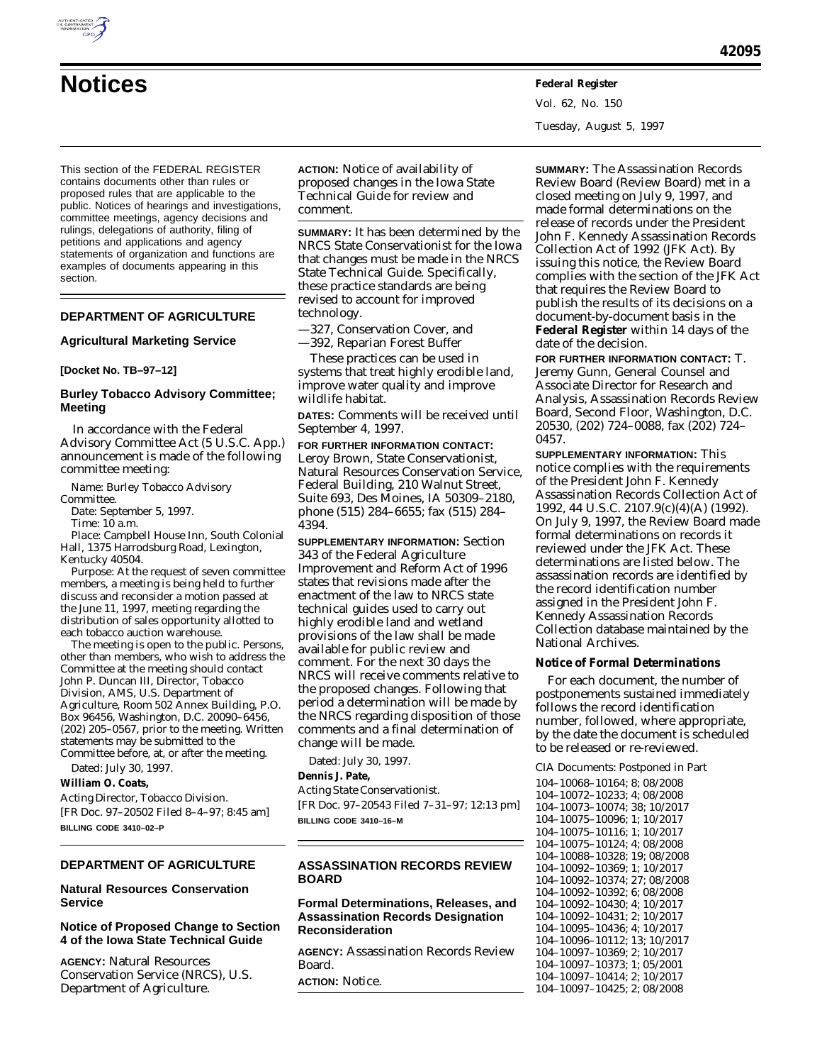

Vol. 62, No. 150 Tuesday, August 5, 1997

This section of the FEDERAL REGISTER contains documents other than rules or proposed rules that are applicable to the public. Notices of hearings and investigations, committee meetings, agency decisions and rulings, delegations of authority, filing of petitions and applications and agency statements of organization and functions are examples of documents appearing in this section.

## **DEPARTMENT OF AGRICULTURE**

#### **Agricultural Marketing Service**

#### **[Docket No. TB–97–12]**

#### **Burley Tobacco Advisory Committee; Meeting**

In accordance with the Federal Advisory Committee Act (5 U.S.C. App.) announcement is made of the following committee meeting:

*Name:* Burley Tobacco Advisory

Committee.

*Date:* September 5, 1997. *Time:* 10 a.m.

*Place:* Campbell House Inn, South Colonial Hall, 1375 Harrodsburg Road, Lexington, Kentucky 40504.

*Purpose:* At the request of seven committee members, a meeting is being held to further discuss and reconsider a motion passed at the June 11, 1997, meeting regarding the distribution of sales opportunity allotted to each tobacco auction warehouse.

The meeting is open to the public. Persons, other than members, who wish to address the Committee at the meeting should contact John P. Duncan III, Director, Tobacco Division, AMS, U.S. Department of Agriculture, Room 502 Annex Building, P.O. Box 96456, Washington, D.C. 20090–6456, (202) 205–0567, prior to the meeting. Written statements may be submitted to the Committee before, at, or after the meeting. Dated: July 30, 1997.

## **William O. Coats,**

*Acting Director, Tobacco Division.* [FR Doc. 97–20502 Filed 8–4–97; 8:45 am] **BILLING CODE 3410–02–P**

## **DEPARTMENT OF AGRICULTURE**

#### **Natural Resources Conservation Service**

#### **Notice of Proposed Change to Section 4 of the Iowa State Technical Guide**

**AGENCY:** Natural Resources Conservation Service (NRCS), U.S. Department of Agriculture.

**ACTION:** Notice of availability of proposed changes in the Iowa State Technical Guide for review and comment.

**SUMMARY:** It has been determined by the NRCS State Conservationist for the Iowa that changes must be made in the NRCS State Technical Guide. Specifically, these practice standards are being revised to account for improved technology.

—327, Conservation Cover, and

—392, Reparian Forest Buffer

These practices can be used in systems that treat highly erodible land, improve water quality and improve wildlife habitat.

**DATES:** Comments will be received until September 4, 1997.

**FOR FURTHER INFORMATION CONTACT:** Leroy Brown, State Conservationist, Natural Resources Conservation Service, Federal Building, 210 Walnut Street, Suite 693, Des Moines, IA 50309–2180, phone (515) 284–6655; fax (515) 284– 4394.

**SUPPLEMENTARY INFORMATION:** Section 343 of the Federal Agriculture Improvement and Reform Act of 1996 states that revisions made after the enactment of the law to NRCS state technical guides used to carry out highly erodible land and wetland provisions of the law shall be made available for public review and comment. For the next 30 days the NRCS will receive comments relative to the proposed changes. Following that period a determination will be made by the NRCS regarding disposition of those comments and a final determination of change will be made.

Dated: July 30, 1997.

### **Dennis J. Pate,**

*Acting State Conservationist.* [FR Doc. 97–20543 Filed 7–31–97; 12:13 pm] **BILLING CODE 3410–16–M**

### **ASSASSINATION RECORDS REVIEW BOARD**

### **Formal Determinations, Releases, and Assassination Records Designation Reconsideration**

**AGENCY:** Assassination Records Review Board.

**ACTION:** Notice.

**SUMMARY:** The Assassination Records Review Board (Review Board) met in a closed meeting on July 9, 1997, and made formal determinations on the release of records under the President John F. Kennedy Assassination Records Collection Act of 1992 (JFK Act). By issuing this notice, the Review Board complies with the section of the JFK Act that requires the Review Board to publish the results of its decisions on a document-by-document basis in the **Federal Register** within 14 days of the date of the decision.

**FOR FURTHER INFORMATION CONTACT:** T. Jeremy Gunn, General Counsel and Associate Director for Research and Analysis, Assassination Records Review Board, Second Floor, Washington, D.C. 20530, (202) 724–0088, fax (202) 724– 0457.

**SUPPLEMENTARY INFORMATION:** This notice complies with the requirements of the President John F. Kennedy Assassination Records Collection Act of 1992, 44 U.S.C. 2107.9(c)(4)(A) (1992). On July 9, 1997, the Review Board made formal determinations on records it reviewed under the JFK Act. These determinations are listed below. The assassination records are identified by the record identification number assigned in the President John F. Kennedy Assassination Records Collection database maintained by the National Archives.

## **Notice of Formal Determinations**

For each document, the number of postponements sustained immediately follows the record identification number, followed, where appropriate, by the date the document is scheduled to be released or re-reviewed.

CIA Documents: Postponed in Part

104–10068–10164; 8; 08/2008 104–10072–10233; 4; 08/2008 104–10073–10074; 38; 10/2017 104–10075–10096; 1; 10/2017 104–10075–10116; 1; 10/2017 104–10075–10124; 4; 08/2008 104–10088–10328; 19; 08/2008 104–10092–10369; 1; 10/2017 104–10092–10374; 27; 08/2008 104–10092–10392; 6; 08/2008 104–10092–10430; 4; 10/2017 104–10092–10431; 2; 10/2017 104–10095–10436; 4; 10/2017 104–10096–10112; 13; 10/2017 104–10097–10369; 2; 10/2017 104–10097–10373; 1; 05/2001 104–10097–10414; 2; 10/2017 104–10097–10425; 2; 08/2008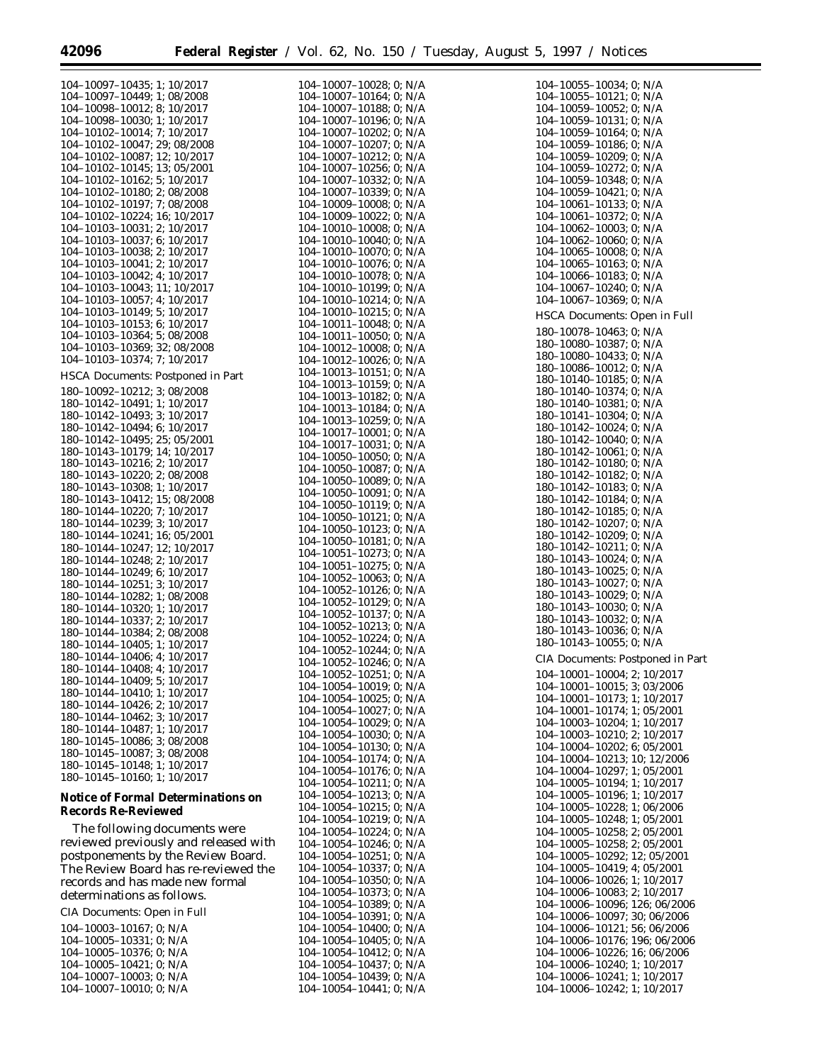| 104-10097-10435; 1; 10/2017<br>104-10097-10449; 1; 08/2008                                                                                         |
|----------------------------------------------------------------------------------------------------------------------------------------------------|
| $104-10098-10012$ ; 8; $10/2017$<br>$104-10098-10030$ ; 1; $10/2017$                                                                               |
|                                                                                                                                                    |
| 104-10102-10014; 7; 10/2017<br>104-10102-10047; 29; 08/2008                                                                                        |
|                                                                                                                                                    |
|                                                                                                                                                    |
| 104-10102-10087; 12; 10/2017<br>104-10102-10145; 13; 05/2001                                                                                       |
|                                                                                                                                                    |
| 104-10102-10162; 5; 10/2017<br>104-10102-10180; 2; 08/2008                                                                                         |
|                                                                                                                                                    |
| $104-10102-10197; 7; 08/2008\n104-10102-10197; 7; 08/2008\n104-10102-10224; 16; 10/2017\n104-10103-10037; 6; 10/2017\n104-10103-10037; 6; 10/2017$ |
|                                                                                                                                                    |
|                                                                                                                                                    |
|                                                                                                                                                    |
| $104-10103-10038; 2; 10/2017$<br>$104-10103-10041; 2; 10/2017$<br>$104-10103-10042; 4; 10/2017$                                                    |
|                                                                                                                                                    |
| 104-10103-10043; 11; 10/2017                                                                                                                       |
| 104-10103-10057; 4; 10/2017                                                                                                                        |
| 104-10103-10149; 5; 10/2017                                                                                                                        |
| 104-10103-10153; 6; 10/2017                                                                                                                        |
| 104-10103-10364; 5; 08/2008                                                                                                                        |
|                                                                                                                                                    |
| 104-10103-10369; 32; 08/2008<br>104-10103-10374; 7; 10/2017                                                                                        |
| <b>HSCA Documents: Postponed in Part</b>                                                                                                           |
|                                                                                                                                                    |
| 180-10092-10212; 3; 08/2008<br>180-10142-10491; 1; 10/2017                                                                                         |
|                                                                                                                                                    |
| $180 - 10142 - 10493$ ; 3; $10/2017$<br>$180 - 10142 - 10494$ ; 6; $10/2017$                                                                       |
|                                                                                                                                                    |
| $180 - 10142 - 10495$ ; 25; 05/2001                                                                                                                |
| 180-10143-10179; 14; 10/2017                                                                                                                       |
| 180-10143-10216; 2; 10/2017                                                                                                                        |
| 180-10143-10220; 2; 08/2008                                                                                                                        |
| 180-10143-10308; 1; 10/2017<br>180-10143-10412; 15; 08/2008                                                                                        |
|                                                                                                                                                    |
| 180-10144-10220; 7; 10/2017                                                                                                                        |
| 180-10144-10239; 3; 10/2017                                                                                                                        |
| 180-10144-10241; 16; 05/2001                                                                                                                       |
| 180-10144-10247; 12; 10/2017                                                                                                                       |
| 180-10144-10248; 2; 10/2017                                                                                                                        |
| 180-10144-10249; 6; 10/2017                                                                                                                        |
| 180-10144-10251; 3; 10/2017                                                                                                                        |
| 180-10144-10282; 1; 08/2008                                                                                                                        |
| 180-10144-10320; 1; 10/2017                                                                                                                        |
| 180-10144-10337; 2; 10/2017                                                                                                                        |
| 180-10144-10384; 2; 08/2008                                                                                                                        |
| 180-10144-10405; 1; 10/2017                                                                                                                        |
| 180-10144-10406; 4; 10/2017                                                                                                                        |
| 180-10144-10408; 4; 10/2017                                                                                                                        |
| 180–10144–10409; 5;<br>10/2017                                                                                                                     |
| 180-10144-10410; 1;<br>10/2017                                                                                                                     |
| 180-10144-10426; 2;<br>10/2017                                                                                                                     |
| 180-10144-10462;<br>3;<br>10/2017                                                                                                                  |
| 180-10144-10487;<br>1;<br>10/2017                                                                                                                  |
| 180-10145-10086;<br>3;08/2008                                                                                                                      |
| 180-10145-10087; 3; 08/2008                                                                                                                        |
| 180-10145-10148;<br>1;<br>10/2017                                                                                                                  |
| 180-10145-10160; 1;<br>10/2017                                                                                                                     |
|                                                                                                                                                    |

# **Notice of Formal Determinations on Records Re-Reviewed**

The following documents were reviewed previously and released with postponements by the Review Board. The Review Board has re-reviewed the records and has made new formal determinations as follows.

CIA Documents: Open in Full

| $104-10003-10167$ : 0: N/A |  |
|----------------------------|--|
| $104-10005-10331$ : 0: N/A |  |
| $104-10005-10376$ : 0: N/A |  |
| $104-10005-10421$ : 0: N/A |  |
| 104-10007-10003: 0: N/A    |  |
| 104-10007-10010: 0: N/A    |  |

| 104- | $-10007 - 10028;$                          | 0;       | N/A        |
|------|--------------------------------------------|----------|------------|
|      | $104 - 10007 - 10164;$                     | 0;       | N/A        |
|      | 104-10007-10188;                           | 0;       | N/A        |
|      | 104-10007-10196;                           | 0:       | N/A        |
| 104- | $-10007 - 10202;$<br>104-10007-10207;      | 0;       | N/A        |
| 104- | $-10007 - 10212;$                          | 0:<br>0; | N/A<br>N/A |
|      | $104 - 10007 - 10256;$                     | 0;       | N/A        |
| 104- | $-10007 - 10332;$                          | 0;       | N/A        |
|      | 104-10007-10339;                           | 0;       | N/A        |
| 104- | $-10009 - 10008;$                          | 0;       | N/A        |
| 104  | $-10009-10022;$                            | 0;       | N/A        |
| 104  | $-10010-10008;$                            | 0;       | N/A        |
| 104- | $-10010-10040;$                            | 0;       | N/A        |
| 104- | $-10010 - 10070;$                          | 0;       | N/A        |
|      | 104-10010-10076;                           | 0;       | N/A        |
| 104- | $-10010 - 10078;$                          | 0;       | N/A        |
|      | 104-10010-10199;                           | 0;       | N/A        |
|      | 104-10010-10214;                           | 0;       | N/A        |
|      | 104-10010-10215;                           | 0;       | N/A        |
| 104- | $-10011 - 10048;$                          | 0;       | N/A        |
|      | 104-10011-10050;                           | 0;       | N/A        |
|      | 104-10012-10008;                           | 0;       | N/A        |
|      | 104-10012-10026;<br>$104 - 10013 - 10151;$ | 0;       | N/A        |
|      | $104 - 10013 - 10159;$                     | 0;       | N/A        |
|      | 104-10013-10182;                           | 0;       | N/A        |
|      | $104 - 10013 - 10184;$                     | 0;<br>0; | N/A<br>N/A |
|      | 104-10013-10259;                           | 0;       | N/A        |
|      | 104-10017-10001;                           | 0;       | N/A        |
|      | 104-10017-10031;                           | 0;       | N/A        |
|      | $104 - 10050 - 10050$                      | 0;       | N/A        |
| 104- | $-10050 - 10087;$                          | 0:       | N/A        |
|      | 104-10050-10089;                           | 0;       | N/A        |
|      | $104 - 10050 - 10091;$                     | 0;       | N/A        |
|      | 104-10050-10119;                           | 0;       | N/A        |
| 104- | $-10050 - 10121;$                          | 0;       | N/A        |
|      | 104-10050-10123;                           | 0;       | N/A        |
| 104- | $-10050 - 10181;$                          | 0;       | N/A        |
|      | $104 - 10051 - 10273;$                     | 0;       | N/A        |
| 104- | $-10051 - 10275;$                          | 0:       | N/A        |
|      | 104-10052-10063;                           | 0;       | N/A        |
| 104- | $-10052 - 10126;$                          | 0;       | N/A        |
|      | 104-10052-10129;                           | 0;       | N/A        |
| 104- | $-10052 - 10137;$                          | 0;       | N/A        |
|      | 104-10052-10213;<br>$-10052 - 10224$       | 0;       | N/A        |
| 104- | 104-10052-10244;                           | 0;       | N/A        |
|      | 104-10052-10246;                           | 0;       | N/A<br>N/A |
|      | 104-10052-10251;                           | 0;<br>0; |            |
|      | 104-10054-10019;                           | 0;       | N/A<br>N/A |
|      | 104-10054-10025;                           | 0;       | N/A        |
|      | 104-10054-10027;                           | 0;       | N/A        |
|      | 104-10054-10029;                           | 0;       | N/A        |
|      | 104-10054-10030;                           | 0;       | N/A        |
|      | 104-10054-10130;                           | 0;       | N/A        |
|      | 104-10054-10174;                           | 0;       | N/A        |
|      | 104-10054-10176;                           | 0;       | N/A        |
|      | $104 - 10054 - 10211;$                     | 0;       | N/A        |
|      | 104-10054-10213;                           | 0;       | N/A        |
|      | 104-10054-10215;                           | 0;       | N/A        |
|      | 104-10054-10219;                           | 0;       | N/A        |
|      | 104-10054-10224;                           | 0;       | N/A        |
|      | 104-10054-10246;                           | 0;       | N/A        |
|      | 104-10054-10251;                           | 0;       | N/A        |
|      | 104-10054-10337;                           | 0;       | N/A        |
|      | 104-10054-10350;                           | 0;       | N/A        |
|      | 104-10054-10373;                           | 0;       | N/A        |
|      | 104-10054-10389;                           | 0;       | N/A        |
|      | 104-10054-10391;<br>104-10054-10400;       | 0;       | N/A        |
|      | 104-10054-10405;                           | 0;<br>0; | N/A        |
|      | 104-10054-10412;                           | 0;       | N/A<br>N/A |
|      | 104-10054-10437;                           | 0;       | N/A        |
|      | 104-10054-10439;                           | 0;       | N/A        |
|      | $104 - 10054 - 10441$ ; 0;                 |          | N/A        |
|      |                                            |          |            |

| 104–10055–10034; 0; N/A<br>104-10055-10121; 0; N/A                                                                                                                                          |
|---------------------------------------------------------------------------------------------------------------------------------------------------------------------------------------------|
| 104-10059-10052; 0; N/A                                                                                                                                                                     |
| 104-10059-10131; 0; N/A<br>104-10059-10164; 0; N/A                                                                                                                                          |
|                                                                                                                                                                                             |
|                                                                                                                                                                                             |
| $104-10059-10186; 0; N/A$<br>$104-10059-10209; 0; N/A$<br>$104-10059-10272; 0; N/A$<br>$104-10059-10348; 0; N/A$<br>$104-10059-10421; 0; N/A$                                               |
|                                                                                                                                                                                             |
| $104-10061-10133; 0; N/A$                                                                                                                                                                   |
| 104-10061-10372; 0; N/A                                                                                                                                                                     |
| 104-10062-10003; 0; N/A                                                                                                                                                                     |
| 104-10062-10060; 0; N/A                                                                                                                                                                     |
| 104-10065-10008; 0; N/A                                                                                                                                                                     |
| 104-10065-10163; 0; N/A                                                                                                                                                                     |
| 104-10066-10183; 0; N/A<br>104-10067-10240; 0; N/A                                                                                                                                          |
| 104-10067-10369; 0; N/A                                                                                                                                                                     |
| HSCA Documents: Open in Full                                                                                                                                                                |
|                                                                                                                                                                                             |
| 180–10078–10463; 0; N/A<br>180–10080–10387; 0; N/A<br>180–10080–10433; 0; N/A<br>180–10086–10012; 0; N/A<br>180–10140–10374; 0; N/A<br>180–10140–10374; 0; N/A                              |
|                                                                                                                                                                                             |
|                                                                                                                                                                                             |
|                                                                                                                                                                                             |
| 180-10140-10381; 0; N/A                                                                                                                                                                     |
| 180-10141-10304; 0; N/A                                                                                                                                                                     |
| 180-10142-10024; 0; N/A                                                                                                                                                                     |
| 180-10142-10040; 0; N/A                                                                                                                                                                     |
| 180-10142-10061; 0; N/A                                                                                                                                                                     |
| 180-10142-10180; 0; N/A                                                                                                                                                                     |
| 180-10142-10182; 0; N/A<br>180-10142-10183; 0; N/A                                                                                                                                          |
|                                                                                                                                                                                             |
|                                                                                                                                                                                             |
| 180-10142-10184; 0; N/A<br>180-10142-10185; 0; N/A<br>180-10142-10207; 0; N/A<br>180-10142-10209; 0; N/A<br>180-10142-10211; 0; N/A<br>180-10143-10024; 0; N/A<br>180-10143-10024; 0; N/A   |
|                                                                                                                                                                                             |
|                                                                                                                                                                                             |
| 180-10143-10025; 0; N/A                                                                                                                                                                     |
| 180-10143-10027; 0; N/A                                                                                                                                                                     |
| 180-10143-10029; 0; N/A                                                                                                                                                                     |
| 180-10143-10030; 0; N/A<br>180-10143-10032; 0; N/A                                                                                                                                          |
| 180-10143-10036; 0; N/A                                                                                                                                                                     |
| 180-10143-10055; 0; N/A                                                                                                                                                                     |
| CIA Documents: Postponed in Part                                                                                                                                                            |
| 104-10001-10004; 2; 10/2017                                                                                                                                                                 |
| 3;03/2006                                                                                                                                                                                   |
|                                                                                                                                                                                             |
| 1; 10/2017                                                                                                                                                                                  |
| 1; 05/2001                                                                                                                                                                                  |
| 1:<br>10/2017                                                                                                                                                                               |
| 2;<br>10/2017                                                                                                                                                                               |
| $104-10001-10015;$<br>$104-10001-10173;$<br>$104-10001-10174;$<br>$104-10003-10204;$<br>$104-10004-10202;$<br>$104-10004-10202;$<br>6; 05/2001<br>10; 12/2006                               |
| 1;05/2001                                                                                                                                                                                   |
| 104-10004-10213;<br>104-10004-10297;<br>10/2017<br>1;                                                                                                                                       |
| $104-10005-10194;$<br>$104-10005-10196;$<br>1:<br>10/2017                                                                                                                                   |
| 1;<br>06/2006                                                                                                                                                                               |
| 104-10005-10228;<br>104-10005-10248;<br>1; 05/2001<br>2; 05/2001                                                                                                                            |
| 104-10005-10258;<br>104-10005-10258;<br>2; 05/2001                                                                                                                                          |
| 12; 05/2001                                                                                                                                                                                 |
| 104-10005-10292;<br>104-10005-10419;<br>4; 05/2001                                                                                                                                          |
| 104-10006-10026;<br>1; 10/2017                                                                                                                                                              |
| 104-10006-10083;<br>2;<br>10/2017                                                                                                                                                           |
| 104-10006-10096;<br>104-10006-10097;<br>126; 06/2006<br>30; 06/2006                                                                                                                         |
| 104-10006-10121; 56; 06/2006                                                                                                                                                                |
| 196; 06/2006                                                                                                                                                                                |
|                                                                                                                                                                                             |
| $104-10006-10176$ ; 196; 06/200<br>104-10006-10226; 16; 06/200<br>104-10006-10226; 16; 06/2006<br>104-10006-10240; 1; 10/2017<br>104-10006-10241; 1; 10/2017<br>104-10006-10242; 1; 10/2017 |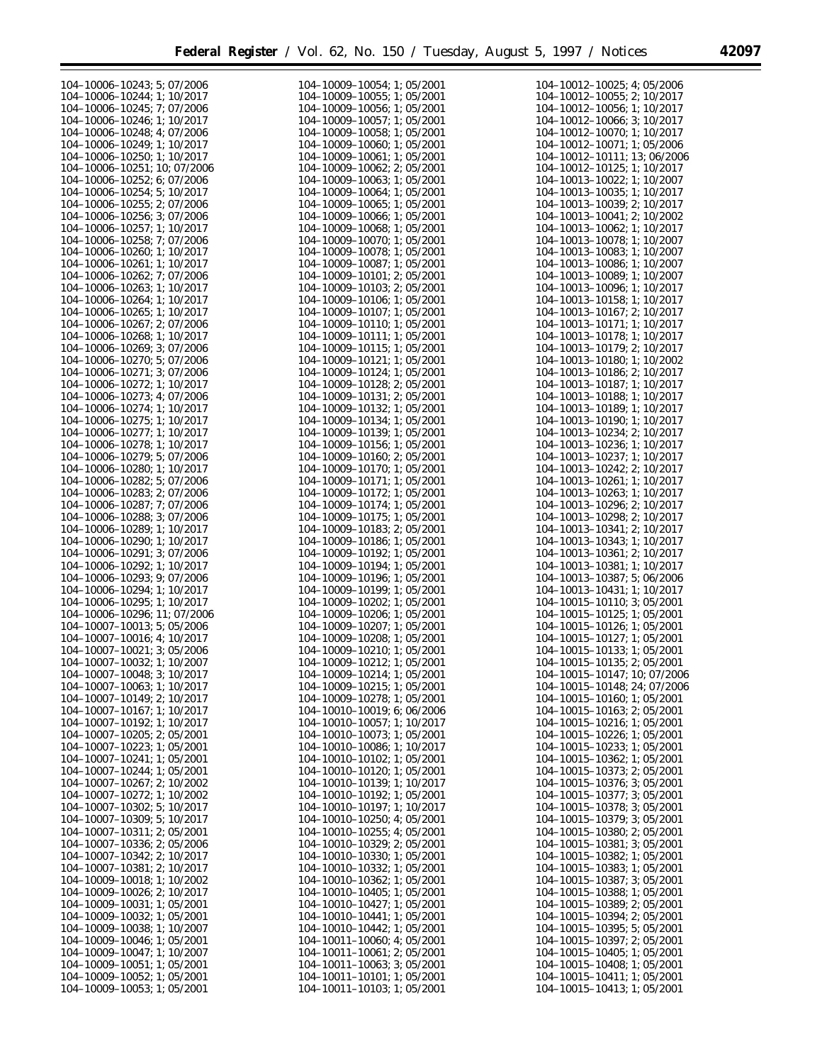۰

| 104-10006-10243; 5; 07/2006        | 104-10009-10054; 1; 05/2001        | $104 - 10012 - 10025$ ; 4; 05/2006 |
|------------------------------------|------------------------------------|------------------------------------|
| 104-10006-10244: 1: 10/2017        | 104-10009-10055; 1; 05/2001        | 104-10012-10055; 2; 10/2017        |
|                                    |                                    |                                    |
| 104-10006-10245; 7; 07/2006        | 104-10009-10056; 1; 05/2001        | 104-10012-10056; 1; 10/2017        |
| 104-10006-10246; 1; 10/2017        | 104-10009-10057; 1; 05/2001        | 104-10012-10066; 3; 10/2017        |
| 104-10006-10248; 4; 07/2006        | $104-10009-10058$ ; 1; 05/2001     | 104-10012-10070; 1; 10/2017        |
| 104-10006-10249; 1; 10/2017        | 104-10009-10060; 1; 05/2001        | 104-10012-10071; 1; 05/2006        |
| 104-10006-10250; 1; 10/2017        | $104-10009-10061$ ; 1; 05/2001     | 104-10012-10111; 13; 06/2006       |
| 104-10006-10251; 10; 07/2006       | $104-10009-10062$ ; 2; 05/2001     | $104 - 10012 - 10125$ ; 1; 10/2017 |
| 104-10006-10252; 6; 07/2006        | 104-10009-10063; 1; 05/2001        | 104-10013-10022; 1; 10/2007        |
| 104-10006-10254; 5; 10/2017        | 104-10009-10064; 1; 05/2001        | 104-10013-10035; 1; 10/2017        |
|                                    |                                    |                                    |
| 104-10006-10255; 2; 07/2006        | $104-10009-10065$ ; 1; 05/2001     | 104-10013-10039; 2; 10/2017        |
| 104-10006-10256; 3; 07/2006        | 104-10009-10066; 1; 05/2001        | 104-10013-10041; 2; 10/2002        |
| 104-10006-10257; 1; 10/2017        | 104-10009-10068; 1; 05/2001        | 104-10013-10062; 1; 10/2017        |
| 104-10006-10258; 7; 07/2006        | 104-10009-10070; 1; 05/2001        | 104-10013-10078: 1: 10/2007        |
| 104-10006-10260; 1; 10/2017        | 104-10009-10078; 1; 05/2001        | 104-10013-10083; 1; 10/2007        |
| 104-10006-10261; 1; 10/2017        | 104-10009-10087; 1; 05/2001        | 104-10013-10086; 1; 10/2007        |
| 104-10006-10262; 7; 07/2006        | $104-10009-10101$ ; 2; 05/2001     | 104-10013-10089; 1; 10/2007        |
| 104-10006-10263; 1; 10/2017        | $104 - 10009 - 10103$ ; 2; 05/2001 | 104-10013-10096; 1; 10/2017        |
| 104-10006-10264; 1; 10/2017        | 104-10009-10106; 1; 05/2001        | 104-10013-10158; 1; 10/2017        |
|                                    |                                    |                                    |
| 104-10006-10265; 1; 10/2017        | 104-10009-10107; 1; 05/2001        | 104-10013-10167; 2; 10/2017        |
| 104-10006-10267; 2; 07/2006        | 104-10009-10110; 1; 05/2001        | 104-10013-10171; 1; 10/2017        |
| 104-10006-10268; 1; 10/2017        | 104-10009-10111; 1; 05/2001        | 104-10013-10178; 1; 10/2017        |
| 104-10006-10269; 3; 07/2006        | 104-10009-10115; 1; 05/2001        | 104-10013-10179; 2; 10/2017        |
| 104-10006-10270; 5; 07/2006        | 104-10009-10121; 1; 05/2001        | 104-10013-10180; 1; 10/2002        |
| 104-10006-10271; 3; 07/2006        | 104-10009-10124; 1; 05/2001        | 104-10013-10186; 2; 10/2017        |
| 104-10006-10272; 1; 10/2017        | 104-10009-10128; 2; 05/2001        | 104-10013-10187; 1; 10/2017        |
| 104-10006-10273; 4; 07/2006        | 104-10009-10131; 2; 05/2001        | 104-10013-10188; 1; 10/2017        |
| 104-10006-10274; 1; 10/2017        | 104-10009-10132; 1; 05/2001        |                                    |
|                                    |                                    | 104-10013-10189; 1; 10/2017        |
| 104-10006-10275; 1; 10/2017        | 104-10009-10134; 1; 05/2001        | 104-10013-10190; 1; 10/2017        |
| 104-10006-10277; 1; 10/2017        | 104-10009-10139; 1; 05/2001        | 104-10013-10234; 2; 10/2017        |
| 104-10006-10278; 1; 10/2017        | 104-10009-10156; 1; 05/2001        | 104-10013-10236; 1; 10/2017        |
| 104-10006-10279; 5; 07/2006        | $104-10009-10160; 2; 05/2001$      | 104-10013-10237; 1; 10/2017        |
| 104-10006-10280; 1; 10/2017        | 104-10009-10170; 1; 05/2001        | 104-10013-10242; 2; 10/2017        |
| 104-10006-10282; 5; 07/2006        | 104-10009-10171; 1; 05/2001        | 104-10013-10261; 1; 10/2017        |
| 104-10006-10283; 2; 07/2006        | 104-10009-10172; 1; 05/2001        | 104-10013-10263; 1; 10/2017        |
| 104-10006-10287; 7; 07/2006        | 104-10009-10174; 1; 05/2001        | 104-10013-10296; 2; 10/2017        |
| 104-10006-10288; 3; 07/2006        | 104-10009-10175; 1; 05/2001        | 104-10013-10298; 2; 10/2017        |
| 104-10006-10289; 1; 10/2017        | 104-10009-10183; 2; 05/2001        | 104-10013-10341; 2; 10/2017        |
|                                    |                                    |                                    |
| 104-10006-10290; 1; 10/2017        | 104-10009-10186; 1; 05/2001        | 104-10013-10343; 1; 10/2017        |
| 104-10006-10291; 3; 07/2006        | 104-10009-10192; 1; 05/2001        | $104-10013-10361$ ; 2; $10/2017$   |
| 104-10006-10292; 1; 10/2017        | 104-10009-10194; 1; 05/2001        | 104-10013-10381; 1; 10/2017        |
| 104-10006-10293; 9; 07/2006        | 104-10009-10196; 1; 05/2001        | 104-10013-10387; 5; 06/2006        |
| 104-10006-10294; 1; 10/2017        | 104-10009-10199; 1; 05/2001        | 104-10013-10431; 1; 10/2017        |
| 104-10006-10295; 1; 10/2017        | 104-10009-10202; 1; 05/2001        | $104-10015-10110$ ; 3; 05/2001     |
| 104-10006-10296; 11; 07/2006       | 104-10009-10206; 1; 05/2001        | 104-10015-10125; 1; 05/2001        |
| 104-10007-10013; 5; 05/2006        | 104-10009-10207; 1; 05/2001        | 104-10015-10126; 1; 05/2001        |
| 104-10007-10016; 4; 10/2017        | 104-10009-10208; 1; 05/2001        | 104-10015-10127; 1; 05/2001        |
| 104-10007-10021; 3; 05/2006        | 104-10009-10210; 1; 05/2001        | 104-10015-10133; 1; 05/2001        |
| 104-10007-10032; 1; 10/2007        |                                    |                                    |
|                                    | 104-10009-10212; 1; 05/2001        | 104-10015-10135; 2; 05/2001        |
| 104-10007-10048; 3; 10/2017        | 104-10009-10214; 1; 05/2001        | 104-10015-10147; 10; 07/2006       |
| 104-10007-10063; 1; 10/2017        | $104 - 10009 - 10215$ ; 1; 05/2001 | 104-10015-10148; 24; 07/2006       |
| 104-10007-10149; 2; 10/2017        | 104-10009-10278; 1; 05/2001        | $104-10015-10160; 1; 05/2001$      |
| 104-10007-10167; 1; 10/2017        | $104-10010-10019$ ; 6; 06/2006     | $104 - 10015 - 10163$ ; 2; 05/2001 |
| 104-10007-10192; 1; 10/2017        | 104-10010-10057; 1; 10/2017        | $104-10015-10216$ ; 1; 05/2001     |
| 104-10007-10205; 2; 05/2001        | 104-10010-10073; 1; 05/2001        | 104-10015-10226; 1; 05/2001        |
| 104-10007-10223; 1; 05/2001        | 104-10010-10086; 1; 10/2017        | $104-10015-10233$ ; 1; 05/2001     |
| 104-10007-10241; 1; 05/2001        | 104-10010-10102; 1; 05/2001        | 104-10015-10362; 1; 05/2001        |
| 104-10007-10244; 1; 05/2001        | 104-10010-10120; 1; 05/2001        | 104-10015-10373; 2; 05/2001        |
|                                    |                                    |                                    |
| 104-10007-10267; 2; 10/2002        | 104-10010-10139; 1; 10/2017        | $104-10015-10376$ ; 3; 05/2001     |
| 104-10007-10272; 1; 10/2002        | 104-10010-10192; 1; 05/2001        | $104-10015-10377$ ; 3; 05/2001     |
| 104-10007-10302; 5; 10/2017        | 104-10010-10197; 1; 10/2017        | $104 - 10015 - 10378$ ; 3; 05/2001 |
| 104-10007-10309; 5; 10/2017        | $104-10010-10250$ ; 4; 05/2001     | $104-10015-10379$ ; 3; 05/2001     |
| 104-10007-10311; 2; 05/2001        | $104-10010-10255$ ; 4; 05/2001     | $104 - 10015 - 10380$ ; 2; 05/2001 |
| 104-10007-10336; 2; 05/2006        | $104 - 10010 - 10329$ ; 2; 05/2001 | $104-10015-10381$ ; 3; 05/2001     |
| 104-10007-10342; 2; 10/2017        | 104-10010-10330; 1; 05/2001        | $104-10015-10382$ ; 1; 05/2001     |
| 104-10007-10381; 2; 10/2017        | 104-10010-10332; 1; 05/2001        | 104-10015-10383; 1; 05/2001        |
| 104-10009-10018; 1; 10/2002        | 104-10010-10362; 1; 05/2001        | 104-10015-10387; 3; 05/2001        |
| 104-10009-10026; 2; 10/2017        | 104-10010-10405; 1; 05/2001        | $104-10015-10388$ ; 1; 05/2001     |
|                                    |                                    |                                    |
| 104-10009-10031; 1; 05/2001        | 104-10010-10427; 1; 05/2001        | $104-10015-10389; 2; 05/2001$      |
| $104 - 10009 - 10032$ ; 1; 05/2001 | 104-10010-10441; 1; 05/2001        | $104-10015-10394$ ; 2; 05/2001     |
| 104-10009-10038; 1; 10/2007        | 104-10010-10442; 1; 05/2001        | $104-10015-10395$ ; 5; 05/2001     |
| 104-10009-10046; 1; 05/2001        | $104-10011-10060$ ; 4; 05/2001     | $104-10015-10397; 2; 05/2001$      |
| 104-10009-10047; 1; 10/2007        | $104-10011-10061$ ; 2; 05/2001     | $104-10015-10405$ ; 1; 05/2001     |
| 104-10009-10051; 1; 05/2001        | 104-10011-10063; 3; 05/2001        | 104-10015-10408; 1; 05/2001        |
| 104-10009-10052; 1; 05/2001        | 104-10011-10101; 1; 05/2001        | 104-10015-10411; 1; 05/2001        |
| 104-10009-10053; 1; 05/2001        | 104-10011-10103; 1; 05/2001        | 104-10015-10413; 1; 05/2001        |
|                                    |                                    |                                    |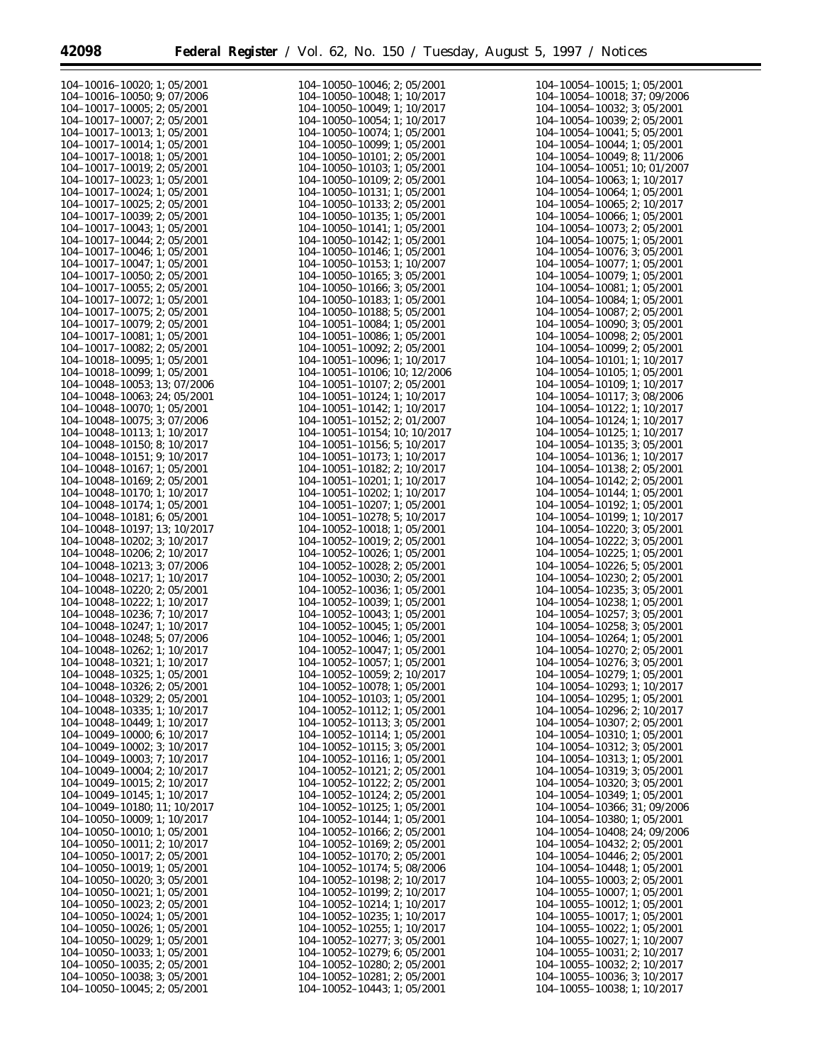e.

| $104 - 10016 - 10020$ ; 1; 05/2001   | 104-10050-10046; 2; 05/2001          | $104-10054-10015$ ; 1; 05/2001       |
|--------------------------------------|--------------------------------------|--------------------------------------|
| 104-10016-10050; 9; 07/2006          | 104-10050-10048; 1; 10/2017          | 104-10054-10018; 37; 09/2006         |
|                                      |                                      |                                      |
| $104-10017-10005$ ; 2; 05/2001       | 104-10050-10049; 1; 10/2017          | $104 - 10054 - 10032$ ; 3; 05/2001   |
| 104-10017-10007; 2; 05/2001          | 104-10050-10054; 1; 10/2017          | 104-10054-10039; 2; 05/2001          |
| 104-10017-10013; 1; 05/2001          | 104-10050-10074; 1; 05/2001          | 104-10054-10041; 5; 05/2001          |
| 104-10017-10014; 1; 05/2001          | 104-10050-10099: 1: 05/2001          | 104-10054-10044; 1; 05/2001          |
| 104-10017-10018; 1; 05/2001          | $104-10050-10101$ ; 2; 05/2001       | 104-10054-10049; 8; 11/2006          |
|                                      |                                      |                                      |
| $104 - 10017 - 10019$ ; 2; 05/2001   | 104-10050-10103; 1; 05/2001          | 104-10054-10051; 10; 01/2007         |
| 104-10017-10023; 1; 05/2001          | 104-10050-10109; 2; 05/2001          | $104 - 10054 - 10063$ ; 1; 10/2017   |
| 104-10017-10024; 1; 05/2001          | 104-10050-10131; 1; 05/2001          | 104-10054-10064; 1; 05/2001          |
| $104-10017-10025$ ; 2; 05/2001       | $104-10050-10133; 2; 05/2001$        | $104-10054-10065$ ; 2; $10/2017$     |
|                                      |                                      |                                      |
| $104 - 10017 - 10039$ ; 2; 05/2001   | $104-10050-10135$ ; 1; 05/2001       | 104-10054-10066; 1; 05/2001          |
| 104-10017-10043; 1; 05/2001          | $104-10050-10141$ ; 1; 05/2001       | $104-10054-10073$ ; 2; 05/2001       |
| 104-10017-10044; 2; 05/2001          | $104-10050-10142$ ; 1; 05/2001       | 104-10054-10075: 1: 05/2001          |
| 104-10017-10046; 1; 05/2001          | $104-10050-10146$ ; 1; 05/2001       | $104-10054-10076$ ; 3; 05/2001       |
|                                      |                                      |                                      |
| 104-10017-10047; 1; 05/2001          | 104-10050-10153; 1; 10/2007          | $104-10054-10077$ ; 1; 05/2001       |
| $104 - 10017 - 10050$ ; 2; 05/2001   | $104-10050-10165$ ; 3; 05/2001       | 104-10054-10079; 1; 05/2001          |
| $104 - 10017 - 10055$ ; 2; 05/2001   | 104-10050-10166; 3; 05/2001          | $104-10054-10081$ ; 1; 05/2001       |
| 104-10017-10072; 1; 05/2001          | $104-10050-10183$ ; 1; 05/2001       | $104-10054-10084$ ; 1; 05/2001       |
| 104-10017-10075; 2; 05/2001          | 104-10050-10188; 5; 05/2001          | 104-10054-10087; 2; 05/2001          |
|                                      |                                      |                                      |
| 104-10017-10079; 2; 05/2001          | 104-10051-10084; 1; 05/2001          | 104-10054-10090; 3; 05/2001          |
| 104-10017-10081; 1; 05/2001          | 104-10051-10086; 1; 05/2001          | 104-10054-10098; 2; 05/2001          |
| 104-10017-10082; 2; 05/2001          | 104-10051-10092; 2; 05/2001          | 104-10054-10099; 2; 05/2001          |
|                                      | 104-10051-10096; 1; 10/2017          | 104-10054-10101; 1; 10/2017          |
| 104-10018-10095; 1; 05/2001          |                                      |                                      |
| 104-10018-10099; 1; 05/2001          | 104-10051-10106; 10; 12/2006         | 104-10054-10105; 1; 05/2001          |
| 104-10048-10053; 13; 07/2006         | 104-10051-10107; 2; 05/2001          | 104-10054-10109; 1; 10/2017          |
| 104-10048-10063; 24; 05/2001         | 104-10051-10124; 1; 10/2017          | 104-10054-10117; 3; 08/2006          |
| 104-10048-10070; 1; 05/2001          | 104-10051-10142; 1; 10/2017          | 104-10054-10122; 1; 10/2017          |
|                                      |                                      |                                      |
| 104-10048-10075; 3; 07/2006          | 104-10051-10152; 2; 01/2007          | 104-10054-10124; 1; 10/2017          |
| 104-10048-10113; 1; 10/2017          | 104-10051-10154; 10; 10/2017         | 104-10054-10125; 1; 10/2017          |
| 104-10048-10150; 8; 10/2017          | 104-10051-10156; 5; 10/2017          | 104-10054-10135; 3; 05/2001          |
| 104-10048-10151; 9; 10/2017          | 104-10051-10173; 1; 10/2017          | 104-10054-10136; 1; 10/2017          |
|                                      |                                      |                                      |
| 104-10048-10167; 1; 05/2001          | 104-10051-10182; 2; 10/2017          | 104-10054-10138; 2; 05/2001          |
| 104-10048-10169; 2; 05/2001          | 104-10051-10201; 1; 10/2017          | 104-10054-10142; 2; 05/2001          |
| 104-10048-10170; 1; 10/2017          | 104-10051-10202; 1; 10/2017          | 104-10054-10144; 1; 05/2001          |
| 104-10048-10174; 1; 05/2001          | 104-10051-10207; 1; 05/2001          | 104-10054-10192; 1; 05/2001          |
| 104-10048-10181; 6; 05/2001          | 104-10051-10278; 5; 10/2017          | 104-10054-10199; 1; 10/2017          |
|                                      |                                      |                                      |
| 104-10048-10197; 13; 10/2017         | 104-10052-10018; 1; 05/2001          | 104-10054-10220; 3; 05/2001          |
| 104-10048-10202; 3; 10/2017          | 104-10052-10019; 2; 05/2001          | 104-10054-10222; 3; 05/2001          |
| 104-10048-10206; 2; 10/2017          | 104-10052-10026; 1; 05/2001          | 104-10054-10225; 1; 05/2001          |
| 104-10048-10213; 3; 07/2006          | 104-10052-10028; 2; 05/2001          | 104-10054-10226; 5; 05/2001          |
| 104-10048-10217; 1; 10/2017          | 104-10052-10030; 2; 05/2001          | 104-10054-10230; 2; 05/2001          |
|                                      |                                      |                                      |
| 104-10048-10220; 2; 05/2001          | 104-10052-10036; 1; 05/2001          | 104-10054-10235; 3; 05/2001          |
| 104-10048-10222; 1; 10/2017          | 104-10052-10039; 1; 05/2001          | 104-10054-10238; 1; 05/2001          |
| 104-10048-10236; 7; 10/2017          | 104-10052-10043; 1; 05/2001          | 104-10054-10257; 3; 05/2001          |
| 104-10048-10247; 1; 10/2017          | 104-10052-10045; 1; 05/2001          | 104-10054-10258; 3; 05/2001          |
| 104-10048-10248; 5; 07/2006          | 104-10052-10046; 1; 05/2001          | 104-10054-10264; 1; 05/2001          |
| 104-10048-10262; 1; 10/2017          |                                      |                                      |
|                                      | 104-10052-10047; 1; 05/2001          | 104-10054-10270; 2; 05/2001          |
| 104-10048-10321; 1; 10/2017          | 104-10052-10057; 1; 05/2001          | 104-10054-10276; 3; 05/2001          |
| 104-10048-10325; 1; 05/2001          | 104-10052-10059; 2; 10/2017          | 104-10054-10279; 1; 05/2001          |
| 104-10048-10326; 2; 05/2001          | 104-10052-10078; 1; 05/2001          | 104-10054-10293; 1; 10/2017          |
| 104-10048-10329; 2; 05/2001          | 104-10052-10103; 1; 05/2001          | 104-10054-10295; 1; 05/2001          |
|                                      |                                      |                                      |
| 104-10048-10335; 1; 10/2017          | 104-10052-10112; 1; 05/2001          | $104-10054-10296; 2; 10/2017$        |
| 104-10048-10449; 1; 10/2017          | $104 - 10052 - 10113$ ; 3; 05/2001   | 104-10054-10307; 2; 05/2001          |
| $104-10049-10000$ ; 6; $10/2017$     | $104 - 10052 - 10114$ ; 1; 05/2001   | 104-10054-10310; 1; 05/2001          |
| $104 - 10049 - 10002$ ; 3; $10/2017$ | 104-10052-10115; 3; 05/2001          | $104-10054-10312$ ; 3; 05/2001       |
| 104-10049-10003; 7; 10/2017          | 104-10052-10116; 1; 05/2001          | 104-10054-10313; 1; 05/2001          |
|                                      |                                      |                                      |
| 104-10049-10004; 2; 10/2017          | 104-10052-10121; 2; 05/2001          | $104 - 10054 - 10319$ ; 3; 05/2001   |
| 104-10049-10015; 2; 10/2017          | 104-10052-10122; 2; 05/2001          | 104-10054-10320; 3; 05/2001          |
| 104-10049-10145; 1; 10/2017          | 104-10052-10124; 2; 05/2001          | $104-10054-10349; 1; 05/2001$        |
| 104-10049-10180; 11; 10/2017         | $104 - 10052 - 10125$ ; 1; 05/2001   | 104-10054-10366; 31; 09/2006         |
|                                      |                                      |                                      |
| $104-10050-10009$ ; 1; $10/2017$     | 104-10052-10144; 1; 05/2001          | 104-10054-10380; 1; 05/2001          |
| 104-10050-10010; 1; 05/2001          | 104-10052-10166; 2; 05/2001          | 104-10054-10408; 24; 09/2006         |
| 104-10050-10011; 2; 10/2017          | 104-10052-10169; 2; 05/2001          | 104-10054-10432; 2; 05/2001          |
| 104-10050-10017; 2; 05/2001          | 104-10052-10170; 2; 05/2001          | 104-10054-10446; 2; 05/2001          |
| 104-10050-10019; 1; 05/2001          | 104-10052-10174; 5; 08/2006          | 104-10054-10448; 1; 05/2001          |
|                                      | 104-10052-10198; 2; 10/2017          | 104-10055-10003; 2; 05/2001          |
| $104 - 10050 - 10020$ ; 3; 05/2001   |                                      |                                      |
| $104 - 10050 - 10021$ ; 1; 05/2001   | $104 - 10052 - 10199$ ; 2; $10/2017$ | $104-10055-10007$ ; 1; 05/2001       |
| $104 - 10050 - 10023$ ; 2; 05/2001   | 104-10052-10214; 1; 10/2017          | $104-10055-10012$ ; 1; 05/2001       |
| 104-10050-10024; 1; 05/2001          | $104 - 10052 - 10235$ ; 1; 10/2017   | 104-10055-10017; 1; 05/2001          |
| 104-10050-10026; 1; 05/2001          | $104 - 10052 - 10255$ ; 1; 10/2017   | 104-10055-10022; 1; 05/2001          |
|                                      |                                      |                                      |
| $104 - 10050 - 10029$ ; 1; 05/2001   | 104-10052-10277; 3; 05/2001          | 104-10055-10027; 1; 10/2007          |
| 104-10050-10033; 1; 05/2001          | $104 - 10052 - 10279$ ; 6; 05/2001   | $104 - 10055 - 10031$ ; 2; $10/2017$ |
| $104 - 10050 - 10035$ ; 2; 05/2001   | 104-10052-10280; 2; 05/2001          | 104-10055-10032; 2; 10/2017          |
| 104-10050-10038; 3; 05/2001          | 104-10052-10281; 2; 05/2001          | 104-10055-10036; 3; 10/2017          |
|                                      |                                      |                                      |
| $104-10050-10045; 2; 05/2001$        | 104-10052-10443; 1; 05/2001          | $104-10055-10038$ ; 1; $10/2017$     |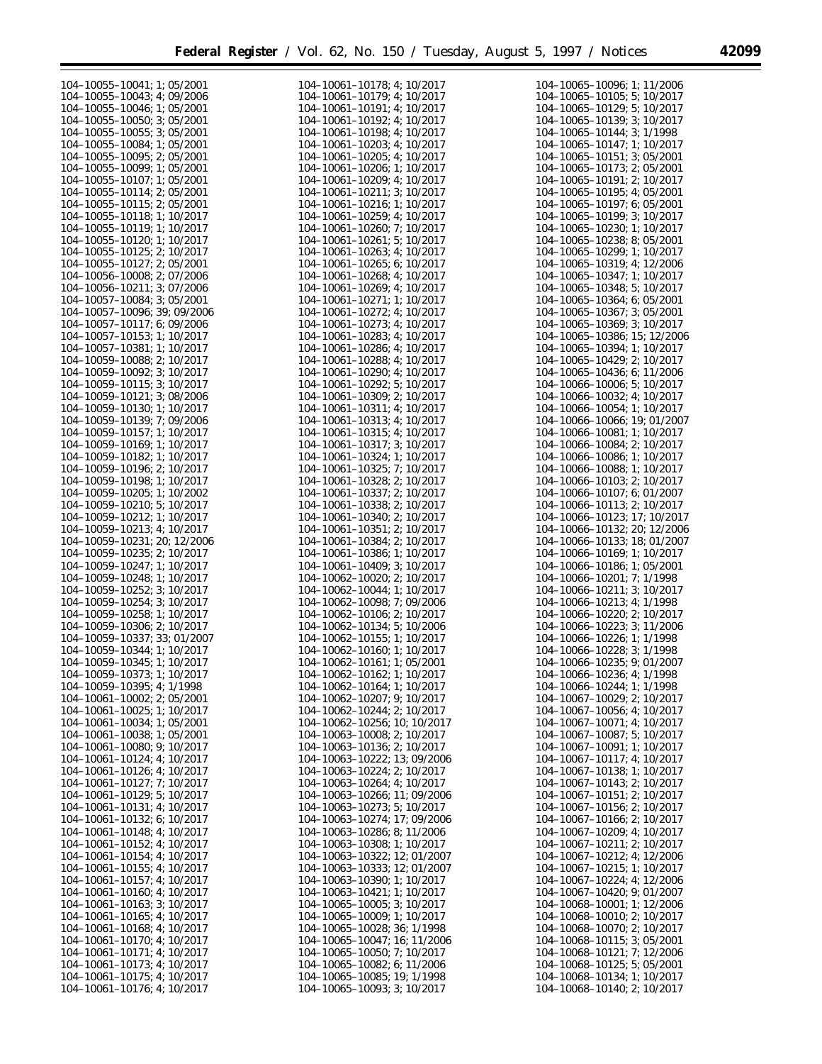e<br>B

| $104 - 10055 - 10041$ ; 1; 05/2001   | 104-10061-10178; 4; 10/2017          | 104-10065-10096; 1; 11/2006          |
|--------------------------------------|--------------------------------------|--------------------------------------|
| 104-10055-10043; 4; 09/2006          | 104-10061-10179; 4; 10/2017          | 104-10065-10105; 5; 10/2017          |
| 104-10055-10046; 1; 05/2001          | 104-10061-10191; 4; 10/2017          | 104-10065-10129; 5; 10/2017          |
|                                      |                                      |                                      |
| 104-10055-10050; 3; 05/2001          | $104 - 10061 - 10192$ ; 4; $10/2017$ | 104-10065-10139; 3; 10/2017          |
| 104-10055-10055; 3; 05/2001          | $104-10061-10198$ ; 4; $10/2017$     | $104 - 10065 - 10144$ ; 3; $1/1998$  |
| 104-10055-10084; 1; 05/2001          | 104-10061-10203; 4; 10/2017          | 104-10065-10147; 1; 10/2017          |
| $104 - 10055 - 10095$ ; 2; 05/2001   | $104-10061-10205$ ; 4; $10/2017$     | 104-10065-10151; 3; 05/2001          |
| 104-10055-10099; 1; 05/2001          | $104 - 10061 - 10206$ ; 1; 10/2017   | 104-10065-10173; 2; 05/2001          |
| $104 - 10055 - 10107$ ; 1; 05/2001   | $104-10061-10209$ ; 4; $10/2017$     | 104-10065-10191; 2; 10/2017          |
| $104 - 10055 - 10114$ ; 2; 05/2001   | $104 - 10061 - 10211$ ; 3; $10/2017$ | 104-10065-10195; 4; 05/2001          |
|                                      |                                      |                                      |
| $104-10055-10115$ ; 2; 05/2001       | $104-10061-10216$ ; 1; $10/2017$     | $104-10065-10197$ ; 6; 05/2001       |
| 104-10055-10118; 1; 10/2017          | $104-10061-10259$ ; 4; $10/2017$     | 104-10065-10199; 3; 10/2017          |
| 104-10055-10119; 1; 10/2017          | 104-10061-10260; 7; 10/2017          | $104 - 10065 - 10230$ ; 1; $10/2017$ |
| 104-10055-10120; 1; 10/2017          | $104 - 10061 - 10261$ ; 5; $10/2017$ | $104 - 10065 - 10238$ ; 8; 05/2001   |
| 104-10055-10125; 2; 10/2017          | $104-10061-10263$ ; 4; $10/2017$     | $104-10065-10299; 1; 10/2017$        |
| 104-10055-10127; 2; 05/2001          | $104 - 10061 - 10265$ ; 6; 10/2017   | 104-10065-10319; 4; 12/2006          |
| 104-10056-10008; 2; 07/2006          | 104-10061-10268; 4; 10/2017          | 104-10065-10347; 1; 10/2017          |
| 104-10056-10211; 3; 07/2006          | $104-10061-10269$ ; 4; $10/2017$     | $104 - 10065 - 10348$ ; 5; 10/2017   |
| 104-10057-10084; 3; 05/2001          | $104-10061-10271$ ; 1; $10/2017$     | $104 - 10065 - 10364$ ; 6; 05/2001   |
|                                      |                                      |                                      |
| 104-10057-10096; 39; 09/2006         | $104-10061-10272$ ; 4; $10/2017$     | 104-10065-10367; 3; 05/2001          |
| 104-10057-10117; 6; 09/2006          | $104 - 10061 - 10273$ ; 4; 10/2017   | 104-10065-10369; 3; 10/2017          |
| 104-10057-10153; 1; 10/2017          | 104-10061-10283; 4; 10/2017          | 104-10065-10386; 15; 12/2006         |
| 104-10057-10381; 1; 10/2017          | 104-10061-10286; 4; 10/2017          | 104-10065-10394; 1; 10/2017          |
| 104-10059-10088: 2: 10/2017          | $104-10061-10288$ ; 4; $10/2017$     | $104-10065-10429$ ; 2; $10/2017$     |
| 104-10059-10092; 3; 10/2017          | 104-10061-10290; 4; 10/2017          | 104-10065-10436; 6; 11/2006          |
| 104-10059-10115; 3; 10/2017          | $104-10061-10292$ ; 5; $10/2017$     | $104-10066-10006$ ; 5; $10/2017$     |
| 104-10059-10121; 3; 08/2006          | 104-10061-10309; 2; 10/2017          | 104-10066-10032; 4; 10/2017          |
| 104-10059-10130; 1; 10/2017          | 104-10061-10311; 4; 10/2017          | 104-10066-10054; 1; 10/2017          |
|                                      |                                      |                                      |
| 104-10059-10139; 7; 09/2006          | 104-10061-10313; 4; 10/2017          | 104-10066-10066; 19; 01/2007         |
| 104-10059-10157; 1; 10/2017          | $104 - 10061 - 10315$ ; 4; 10/2017   | 104-10066-10081; 1; 10/2017          |
| 104-10059-10169; 1; 10/2017          | 104-10061-10317; 3; 10/2017          | 104-10066-10084; 2; 10/2017          |
| 104-10059-10182; 1; 10/2017          | 104-10061-10324; 1; 10/2017          | 104-10066-10086; 1; 10/2017          |
| 104-10059-10196; 2; 10/2017          | 104-10061-10325; 7; 10/2017          | 104-10066-10088; 1; 10/2017          |
| 104-10059-10198; 1; 10/2017          | $104-10061-10328$ ; 2; $10/2017$     | $104-10066-10103$ ; 2; $10/2017$     |
| $104 - 10059 - 10205$ ; 1; 10/2002   | $104 - 10061 - 10337$ ; 2; $10/2017$ | 104-10066-10107; 6; 01/2007          |
| 104-10059-10210; 5; 10/2017          | $104-10061-10338; 2; 10/2017$        | $104-10066-10113$ ; 2; $10/2017$     |
| 104-10059-10212; 1; 10/2017          | $104-10061-10340; 2; 10/2017$        | 104-10066-10123; 17; 10/2017         |
| 104-10059-10213; 4; 10/2017          | $104-10061-10351$ ; 2; $10/2017$     | 104-10066-10132; 20; 12/2006         |
|                                      |                                      |                                      |
| 104-10059-10231; 20; 12/2006         | $104-10061-10384$ ; 2; $10/2017$     | 104-10066-10133; 18; 01/2007         |
| $104 - 10059 - 10235$ ; 2; $10/2017$ | 104-10061-10386; 1; 10/2017          | 104-10066-10169; 1; 10/2017          |
| 104-10059-10247; 1; 10/2017          | 104-10061-10409; 3; 10/2017          | 104-10066-10186; 1; 05/2001          |
| 104-10059-10248; 1; 10/2017          | $104-10062-10020$ ; 2; $10/2017$     | 104-10066-10201; 7; 1/1998           |
| 104-10059-10252; 3; 10/2017          | 104-10062-10044; 1; 10/2017          | 104-10066-10211; 3; 10/2017          |
| 104-10059-10254; 3; 10/2017          | 104-10062-10098; 7; 09/2006          | 104-10066-10213; 4; 1/1998           |
| 104-10059-10258; 1; 10/2017          | 104-10062-10106; 2; 10/2017          | 104-10066-10220; 2; 10/2017          |
| 104-10059-10306; 2; 10/2017          | 104-10062-10134; 5; 10/2006          | 104-10066-10223; 3; 11/2006          |
| 104-10059-10337; 33; 01/2007         | $104 - 10062 - 10155$ ; 1; 10/2017   | 104-10066-10226; 1; 1/1998           |
| 104-10059-10344; 1; 10/2017          | $104-10062-10160$ ; 1; $10/2017$     | 104-10066-10228; 3; 1/1998           |
| 104-10059-10345; 1; 10/2017          | 104-10062-10161; 1; 05/2001          | 104-10066-10235; 9; 01/2007          |
|                                      |                                      |                                      |
| 104-10059-10373; 1; 10/2017          | 104-10062-10162; 1; 10/2017          | 104-10066-10236; 4; 1/1998           |
| 104-10059-10395; 4; 1/1998           | 104-10062-10164; 1; 10/2017          | 104-10066-10244; 1; 1/1998           |
| $104-10061-10002$ ; 2; 05/2001       | 104-10062-10207; 9; 10/2017          | $104 - 10067 - 10029$ ; 2; $10/2017$ |
| $104 - 10061 - 10025$ ; 1; 10/2017   | 104-10062-10244; 2; 10/2017          | 104-10067-10056; 4; 10/2017          |
| $104 - 10061 - 10034$ ; 1; 05/2001   | 104-10062-10256; 10; 10/2017         | $104-10067-10071$ ; 4; $10/2017$     |
| 104-10061-10038; 1; 05/2001          | $104 - 10063 - 10008$ ; 2; $10/2017$ | $104 - 10067 - 10087$ ; 5; $10/2017$ |
| $104 - 10061 - 10080$ ; 9; $10/2017$ | 104-10063-10136; 2; 10/2017          | $104-10067-10091$ ; 1; $10/2017$     |
| 104-10061-10124; 4; 10/2017          | 104-10063-10222; 13; 09/2006         | 104-10067-10117; 4; 10/2017          |
| $104 - 10061 - 10126$ ; 4; $10/2017$ | 104-10063-10224; 2; 10/2017          | 104-10067-10138; 1; 10/2017          |
| 104-10061-10127; 7; 10/2017          | 104-10063-10264; 4; 10/2017          | 104-10067-10143; 2; 10/2017          |
|                                      |                                      |                                      |
| 104-10061-10129; 5; 10/2017          | 104-10063-10266; 11; 09/2006         | $104-10067-10151$ ; 2; $10/2017$     |
| 104-10061-10131; 4; 10/2017          | 104-10063-10273; 5; 10/2017          | $104 - 10067 - 10156$ ; 2; $10/2017$ |
| $104 - 10061 - 10132$ ; 6; 10/2017   | 104-10063-10274; 17; 09/2006         | $104-10067-10166$ ; 2; $10/2017$     |
| 104-10061-10148; 4; 10/2017          | 104-10063-10286; 8; 11/2006          | 104-10067-10209; 4; 10/2017          |
| 104-10061-10152; 4; 10/2017          | 104-10063-10308; 1; 10/2017          | 104-10067-10211; 2; 10/2017          |
| 104-10061-10154; 4; 10/2017          | 104-10063-10322; 12; 01/2007         | 104-10067-10212; 4; 12/2006          |
| $104 - 10061 - 10155$ ; 4; 10/2017   | 104-10063-10333; 12; 01/2007         | $104 - 10067 - 10215$ ; 1; 10/2017   |
| $104 - 10061 - 10157$ ; 4; 10/2017   | 104-10063-10390; 1; 10/2017          | 104-10067-10224; 4; 12/2006          |
| $104 - 10061 - 10160$ ; 4; $10/2017$ | 104-10063-10421; 1; 10/2017          | $104-10067-10420$ ; 9; 01/2007       |
| 104-10061-10163; 3; 10/2017          | $104-10065-10005$ ; 3; $10/2017$     | 104-10068-10001; 1; 12/2006          |
|                                      |                                      |                                      |
| $104 - 10061 - 10165$ ; 4; 10/2017   | $104-10065-10009$ ; 1; $10/2017$     | $104-10068-10010$ ; 2; $10/2017$     |
| 104-10061-10168; 4; 10/2017          | 104-10065-10028; 36; 1/1998          | 104-10068-10070; 2; 10/2017          |
| $104 - 10061 - 10170$ ; 4; $10/2017$ | 104-10065-10047; 16; 11/2006         | $104-10068-10115$ ; 3; 05/2001       |
| $104 - 10061 - 10171$ ; 4; 10/2017   | $104-10065-10050$ ; 7; $10/2017$     | 104-10068-10121; 7; 12/2006          |
| 104-10061-10173; 4; 10/2017          | $104-10065-10082$ ; 6; 11/2006       | $104-10068-10125$ ; 5; 05/2001       |
| $104 - 10061 - 10175$ ; 4; 10/2017   | 104-10065-10085; 19; 1/1998          | 104-10068-10134; 1; 10/2017          |
| 104-10061-10176; 4; 10/2017          | $104 - 10065 - 10093$ ; 3; $10/2017$ | $104-10068-10140; 2; 10/2017$        |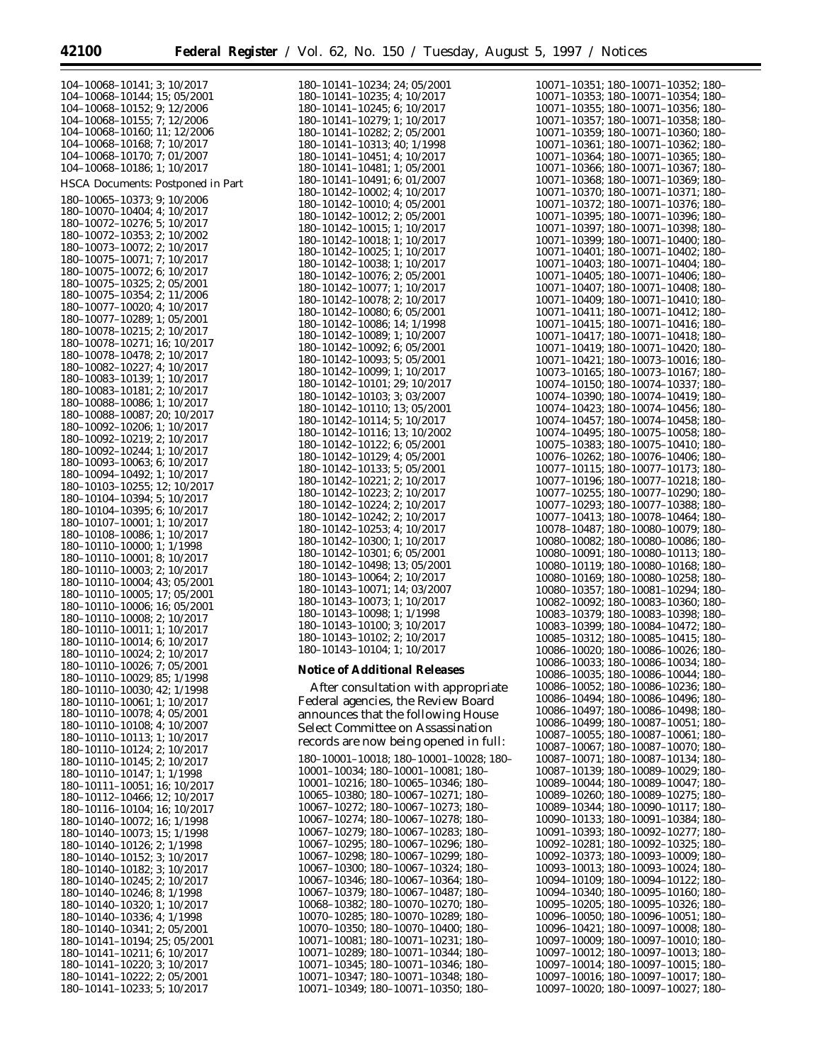|                                             | 104-10068-10141; 3; 10/2017                                                                                                                                                                                                          |
|---------------------------------------------|--------------------------------------------------------------------------------------------------------------------------------------------------------------------------------------------------------------------------------------|
|                                             | $104-10068-10144$ ; $15; 05/2001$<br>$104-10068-10152$ ; 9; $12/2006$                                                                                                                                                                |
|                                             |                                                                                                                                                                                                                                      |
|                                             |                                                                                                                                                                                                                                      |
|                                             | $104-10068-10155; 7; 12/2006$ $104-10068-10155; 7; 12/2006$ $104-10068-10168; 7; 10/2017$ $104-10068-10170; 7; 01/2007$                                                                                                              |
|                                             |                                                                                                                                                                                                                                      |
|                                             | 104-10068-10186; 1; 10/2017                                                                                                                                                                                                          |
|                                             | HSCA Documents: Postponed in Part                                                                                                                                                                                                    |
|                                             | 180-10065-10373; 9; 10/2006                                                                                                                                                                                                          |
|                                             | 180-10070-10404; 4; 10/2017                                                                                                                                                                                                          |
|                                             | 180-10072-10276; 5; 10/2017                                                                                                                                                                                                          |
|                                             | $180-10072-10353; 2; 10/2002$<br>$180-10073-10072; 2; 10/2017$                                                                                                                                                                       |
|                                             |                                                                                                                                                                                                                                      |
|                                             | $180-10075-10071; 7; 10/2017180-10075-10072; 6; 10/2017$                                                                                                                                                                             |
|                                             | 180-10075-10325; 2; 05/2001                                                                                                                                                                                                          |
|                                             | 180-10075-10354; 2; 11/2006                                                                                                                                                                                                          |
|                                             |                                                                                                                                                                                                                                      |
|                                             | $180-10077-10020; 4; 10/2017$<br>$180-10077-10289; 1; 05/2001$                                                                                                                                                                       |
|                                             | 180-10078-10215; 2; 10/2017                                                                                                                                                                                                          |
|                                             | 180-10078-10271; 16; 10/2017                                                                                                                                                                                                         |
|                                             | 180-10078-10478; 2; 10/2017<br>180-10082-10227; 4; 10/2017                                                                                                                                                                           |
|                                             |                                                                                                                                                                                                                                      |
|                                             | 180-10083-10139; 1; 10/2017<br>180-10083-10181; 2; 10/2017                                                                                                                                                                           |
|                                             |                                                                                                                                                                                                                                      |
|                                             |                                                                                                                                                                                                                                      |
|                                             |                                                                                                                                                                                                                                      |
|                                             |                                                                                                                                                                                                                                      |
|                                             | $180-10083-10086; 1; 10/2017$<br>$180-10088-10086; 1; 10/2017$<br>$180-10088-10087; 20; 10/2017$<br>$180-10092-10206; 1; 10/2017$<br>$180-10092-10244; 1; 10/2017$<br>$180-10093-10063; 6; 10/2017$<br>$180-10093-10063; 6; 10/2017$ |
|                                             | 180–10094–10492; 1; 10/2017<br>180–10094–10492; 1; 10/2017                                                                                                                                                                           |
|                                             |                                                                                                                                                                                                                                      |
|                                             | 180-10104-10394; 5; 10/2017                                                                                                                                                                                                          |
|                                             | 180-10104-10395; 6; 10/2017<br>180-10107-10001; 1; 10/2017                                                                                                                                                                           |
|                                             | 180-10108-10086; 1; 10/2017                                                                                                                                                                                                          |
|                                             | 180-10110-10000; 1; 1/1998                                                                                                                                                                                                           |
|                                             | 180-10110-10001; 8; 10/2017                                                                                                                                                                                                          |
|                                             | 180-10110-10003; 2; 10/2017                                                                                                                                                                                                          |
|                                             | 180-10110-10004; 43; 05/2001                                                                                                                                                                                                         |
|                                             | 180-10110-10005; 17; 05/2001<br>$180-10110-10006$ ; 16; 05/2001                                                                                                                                                                      |
|                                             | $180 - 10110 - 10008$ ; 2; $10/2017$                                                                                                                                                                                                 |
|                                             | 180-10110-10011; 1; 10/2017                                                                                                                                                                                                          |
|                                             | 180-10110-10014; 6; 10/2017                                                                                                                                                                                                          |
|                                             | 180-10110-10024; 2; 10/2017                                                                                                                                                                                                          |
|                                             | 180-10110-10026; 7; 05/2001<br>180-10110-10029; 85; 1/1998                                                                                                                                                                           |
|                                             | 180-10110-10030; 42; 1/1998                                                                                                                                                                                                          |
|                                             | 180-10110-10061; 1; 10/2017                                                                                                                                                                                                          |
|                                             | 180-10110-10078; 4; 05/2001                                                                                                                                                                                                          |
| 180-10110-10108; 4;                         | 10/2007                                                                                                                                                                                                                              |
| 180-10110-10113;<br>180-10110-10124; 2;     | 1:<br>10/2017                                                                                                                                                                                                                        |
| 180-10110-10145;                            | 10/2017<br>2:<br>10/2017                                                                                                                                                                                                             |
|                                             | 1;<br>1/1998                                                                                                                                                                                                                         |
| $180 - 10110 - 10147$ ;<br>180-10111-10051; | 16; 10/2017                                                                                                                                                                                                                          |
| $180 - 10112 - 10466;$<br>180-10116-10104;  | 12; 10/2017                                                                                                                                                                                                                          |
|                                             | 16: 10/2017                                                                                                                                                                                                                          |
| 180-10140-10072;<br>180-10140-10073;        | 16; $1/1998$                                                                                                                                                                                                                         |
| 180-10140-10126;                            | 15: 1/1998<br>2; 1/1998                                                                                                                                                                                                              |
| 180-10140-10152;                            | 3:<br>10/2017                                                                                                                                                                                                                        |
| 180-10140-10182;                            | 3;<br>10/2017                                                                                                                                                                                                                        |
| 180-10140-10245;                            | 2; 10/2017                                                                                                                                                                                                                           |
| 180-10140-10246; 8;                         | 1/1998                                                                                                                                                                                                                               |
| 180-10140-10320;                            | 1; 10/2017<br>180-10140-10336; 4; 1/1998                                                                                                                                                                                             |
|                                             | 180-10140-10341; 2; 05/2001                                                                                                                                                                                                          |
|                                             | 180-10141-10194; 25; 05/2001                                                                                                                                                                                                         |
|                                             | $180-10141-10211$ ; 6; 10/2017<br>180-10141-10220; 3; 10/2017                                                                                                                                                                        |
|                                             |                                                                                                                                                                                                                                      |
|                                             | $180-10141-10222; 2; 05/2001$<br>$180-10141-10233; 5; 10/2017$                                                                                                                                                                       |
|                                             |                                                                                                                                                                                                                                      |

| 180–10141–10234; 24; 05/2001<br>180–10141–10235; 4; 10/2017 |
|-------------------------------------------------------------|
| 180-10141-10245; 6; 10/2017                                 |
| 180-10141-10279; 1; 10/2017                                 |
| 180-10141-10282; 2; 05/2001                                 |
|                                                             |
| 180-10141-10313; 40; 1/1998                                 |
| 180-10141-10451; 4; 10/2017                                 |
|                                                             |
| 180-10141-10481; 1; 05/2001<br>180-10141-10491; 6; 01/2007  |
| 180-10142-10002;<br>4; 10/2017                              |
| 180-10142-10010;<br>4;05/2001                               |
| 180-10142-10012; 2; 05/2001                                 |
| 180-10142-10015;                                            |
| 1:10/2017                                                   |
| 180-10142-10018;<br>1; 10/2017                              |
| $180 - 10142 - 10025;$<br>1; 10/2017                        |
| 180-10142-10038;<br>1; 10/2017                              |
| 180-10142-10076;<br>2; 05/2001                              |
| 180-10142-10077;<br>1; 10/2017                              |
| 180-10142-10078; 2; 10/2017                                 |
| 180-10142-10080; 6; 05/2001                                 |
| 180-10142-10086; 14; 1/1998                                 |
| 180-10142-10089; 1; 10/2007                                 |
|                                                             |
| 180-10142-10092; 6; 05/2001                                 |
| 180-10142-10093; 5; 05/2001                                 |
| 180-10142-10099; 1; 10/2017                                 |
| $180 - 10142 - 10101$ ; 29; $10/2017$                       |
| 180-10142-10103; 3; 03/2007                                 |
| 180-10142-10110; 13; 05/2001                                |
| 180-10142-10114; 5; 10/2017                                 |
|                                                             |
| 180-10142-10116; 13; 10/2002<br>180-10142-10122; 6; 05/2001 |
|                                                             |
| 180-10142-10129; 4; 05/2001                                 |
| 180-10142-10133; 5; 05/2001                                 |
| 180-10142-10221; 2; 10/2017                                 |
| 180-10142-10223; 2; 10/2017                                 |
| 180-10142-10224; 2; 10/2017                                 |
| 180-10142-10242; 2; 10/2017                                 |
| 180-10142-10253; 4; 10/2017                                 |
|                                                             |
| 180-10142-10300; 1; 10/2017                                 |
| 180-10142-10301; 6; 05/2001                                 |
| 180-10142-10498; 13; 05/2001                                |
| 180-10143-10064; 2; 10/2017                                 |
|                                                             |
| 180-10143-10071; 14; 03/2007<br>180-10143-10073; 1; 10/2017 |
| 180-10143-10098; 1; 1/1998                                  |
| 180-10143-10100; 3; 10/2017                                 |
| 180-10143-10102; 2; 10/2017                                 |
|                                                             |
| 180-10143-10104;<br>10/2017<br>1:                           |

#### **Notice of Additional Releases**

After consultation with appropriate Federal agencies, the Review Board announces that the following House Select Committee on Assassination records are now being opened in full: 180–10001–10018; 180–10001–10028; 180– 10001–10034; 180–10001–10081; 180– 10001–10216; 180–10065–10346; 180– 10065–10380; 180–10067–10271; 180– 10067–10272; 180–10067–10273; 180– 10067–10274; 180–10067–10278; 180– 10067–10279; 180–10067–10283; 180– 10067–10295; 180–10067–10296; 180– 10067–10298; 180–10067–10299; 180– 10067–10300; 180–10067–10324; 180– 10067–10346; 180–10067–10364; 180– 10067–10379; 180–10067–10487; 180– 10068–10382; 180–10070–10270; 180– 10070–10285; 180–10070–10289; 180– 10070–10350; 180–10070–10400; 180– 10071–10081; 180–10071–10231; 180– 10071–10289; 180–10071–10344; 180– 10071–10345; 180–10071–10346; 180– 10071–10347; 180–10071–10348; 180– 10071–10349; 180–10071–10350; 180–

| 10071–10351;                 |  | 180–10071–10352;                       | 180–         |
|------------------------------|--|----------------------------------------|--------------|
| 10071-10353;                 |  | 180-10071-10354;                       | 180–         |
| 10071-10355;                 |  | 180-10071-10356;                       | 180–         |
| 10071-10357;                 |  | 180–10071–10358;                       | 180–         |
| 10071-10359:                 |  | 180–10071–10360;                       | 180–         |
| 10071-10361;                 |  | 180-10071-10362;                       | 180–         |
| $10071 - 10364;$             |  | $180 - 10071 - 10365$                  | 180–         |
| $10071 - 10366;$             |  | $180-10071-10367;$<br>180-10071-10369; | 180–         |
| $10071 - 10368;$             |  |                                        | 180-         |
| 10071-10370;                 |  |                                        | 180–         |
| 10071-10372;                 |  | 180-10071-10371;<br>180-10071-10376;   | 180–         |
| 10071-10395;                 |  | 180-10071-10396;                       | 180–         |
| 10071-10397;                 |  | 180-10071-10398;                       | 180–         |
| 10071-10399;                 |  | 180-10071-10400;                       | 180–         |
| $10071 - 10401;$             |  | 180-10071-10402;                       | 180–         |
| 10071-10403;                 |  | 180-10071-10404;                       | 180–         |
| 10071-10405;                 |  | 180-10071-10406;                       | 180–         |
| 10071-10407;                 |  | 180-10071-10408;                       | 180–         |
| 10071-10409;                 |  | $180 - 10071 - 10410;$                 | 180–         |
| 10071-10411:                 |  | 180-10071-10412;                       | 180–         |
| $10071 - 10415$              |  | $180 - 10071 - 10416;$                 | 180–         |
| 10071-10417:                 |  | 180–10071–10418;                       | 180–         |
| $10071 - 10419;$             |  | 180-10071-10420;                       | 180–         |
| 10071-10421:                 |  | 180-10073-10016;                       | 180–         |
| 10073-10165;                 |  | 180-10073-10167;                       | 180–         |
| 10074-10150;                 |  | 180-10074-10337;                       | 180–         |
| 10074-10390;                 |  | 180-10074-10419;                       | 180–         |
| 10074-10423:                 |  | 180-10074-10456:                       | 180–         |
| 10074-10457;                 |  | 180-10074-10458;                       | 180–         |
| 10074–10495:                 |  | 180–10075–10058;                       | 180–         |
| 10075-10383;                 |  | 180-10075-10410;                       | 180–         |
| 10076-10262;                 |  | 180-10076-10406;                       | 180–         |
| 10077-10115;                 |  | 180-10077-10173;                       | 180–         |
| 10077-10196;                 |  | 180-10077-10218;                       | 180–         |
| 10077-10255;                 |  | 180-10077-10290;                       | 180–         |
| 10077-10293;                 |  | 180-10077-10388;                       | 180–         |
| 10077-10413;                 |  | 180-10078-10464;                       | 180–         |
|                              |  |                                        |              |
|                              |  |                                        |              |
| 10078-10487:                 |  | 180-10080-10079;                       | 180–         |
| 10080-10082;                 |  | 180-10080-10086;                       | 180–         |
| 10080-10091:                 |  | 180-10080-10113;                       | 180–         |
| 10080-10119;                 |  | 180-10080-10168;                       | 180–         |
| 10080-10169;                 |  | 180-10080-10258;                       | 180–         |
| 10080-10357;                 |  | 180-10081-10294;                       | 180–         |
| 10082-10092:                 |  | 180-10083-10360;                       | 180–         |
| 10083-10379;                 |  | 180-10083-10398;                       | 180–         |
| 10083-10399;                 |  | 180-10084-10472;                       | 180–         |
| 10085-10312;                 |  | 180-10085-10415;                       | 180–         |
| 10086-10020;                 |  | 180-10086-10026;                       | 180–         |
| 10086-10033;                 |  | 180-10086-10034;                       | 180–         |
| 10086-10035;                 |  | 180-10086-10044;                       | 180-         |
| 10086-10052;                 |  | 180-10086-10236;                       | 180–         |
| 10086–10494;                 |  | 180–10086–10496;                       | 180–         |
| 10086-10497;                 |  | 180-10086-10498;                       | 180–         |
| 10086-10499;                 |  | 180–10087–10051;                       | $180 -$      |
| 10087-10055;                 |  | 180-10087-10061;                       | 180–         |
| 10087–10067;                 |  | 180–10087–10070;                       | $180 -$      |
| 10087-10071;                 |  | 180-10087-10134;                       | $180 -$      |
| 10087-10139;                 |  | 180–10089–10029;                       | $180 -$      |
| 10089-10044;                 |  | 180-10089-10047;                       | 180–         |
| 10089–10260;                 |  | 180–10089–10275;                       | $180 -$      |
| 10089-10344;                 |  | 180-10090-10117;                       | 180–         |
| 10090-10133;                 |  | 180-10091-10384;                       | $180 -$      |
| 10091-10393;                 |  | 180-10092-10277;                       | 180–         |
|                              |  | 180-10092-10325;                       | 180–         |
| 10092-10281;<br>10092-10373; |  | 180-10093-10009;                       | 180–         |
|                              |  | 180–10093–10024;                       | 180–         |
| 10093-10013;<br>10094-10109; |  | 180-10094-10122;                       | 180–         |
|                              |  | 180-10095-10160;                       | $180 -$      |
| 10094-10340;<br>10095-10205; |  | 180-10095-10326;                       | 180–         |
| 10096-10050;                 |  | 180–10096–10051;                       | 180–         |
| 10096-10421;                 |  | 180-10097-10008;                       | 180–         |
|                              |  | 180–10097–10010;                       | $180 -$      |
| 10097-10009;<br>10097-10012; |  | 180-10097-10013;                       | 180–         |
| 10097-10014;<br>10097-10016; |  | 180-10097-10015;<br>180-10097-10017;   | 180–<br>180– |